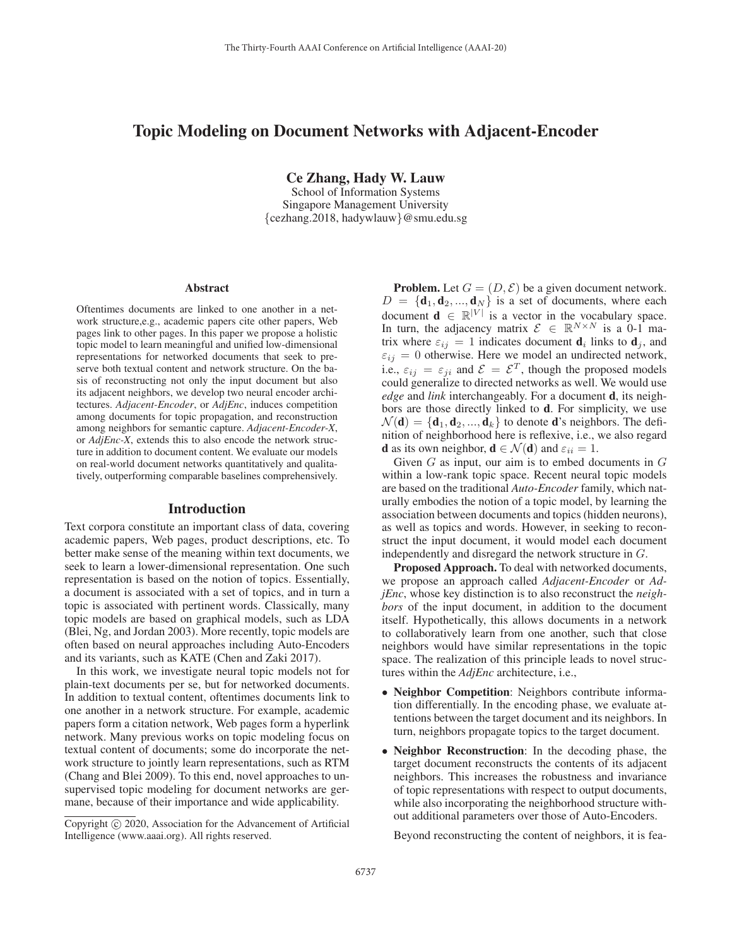# Topic Modeling on Document Networks with Adjacent-Encoder

Ce Zhang, Hady W. Lauw

School of Information Systems Singapore Management University {cezhang.2018, hadywlauw}@smu.edu.sg

#### Abstract

Oftentimes documents are linked to one another in a network structure,e.g., academic papers cite other papers, Web pages link to other pages. In this paper we propose a holistic topic model to learn meaningful and unified low-dimensional representations for networked documents that seek to preserve both textual content and network structure. On the basis of reconstructing not only the input document but also its adjacent neighbors, we develop two neural encoder architectures. *Adjacent-Encoder*, or *AdjEnc*, induces competition among documents for topic propagation, and reconstruction among neighbors for semantic capture. *Adjacent-Encoder-X*, or *AdjEnc-X*, extends this to also encode the network structure in addition to document content. We evaluate our models on real-world document networks quantitatively and qualitatively, outperforming comparable baselines comprehensively.

# Introduction

Text corpora constitute an important class of data, covering academic papers, Web pages, product descriptions, etc. To better make sense of the meaning within text documents, we seek to learn a lower-dimensional representation. One such representation is based on the notion of topics. Essentially, a document is associated with a set of topics, and in turn a topic is associated with pertinent words. Classically, many topic models are based on graphical models, such as LDA (Blei, Ng, and Jordan 2003). More recently, topic models are often based on neural approaches including Auto-Encoders and its variants, such as KATE (Chen and Zaki 2017).

In this work, we investigate neural topic models not for plain-text documents per se, but for networked documents. In addition to textual content, oftentimes documents link to one another in a network structure. For example, academic papers form a citation network, Web pages form a hyperlink network. Many previous works on topic modeling focus on textual content of documents; some do incorporate the network structure to jointly learn representations, such as RTM (Chang and Blei 2009). To this end, novel approaches to unsupervised topic modeling for document networks are germane, because of their importance and wide applicability.

**Problem.** Let  $G = (D, \mathcal{E})$  be a given document network.  $D = {\bf d}_1, {\bf d}_2, ..., {\bf d}_N$  is a set of documents, where each document  $\mathbf{d} \in \mathbb{R}^{|V|}$  is a vector in the vocabulary space. In turn, the adjacency matrix  $\mathcal{E} \in \mathbb{R}^{N \times N}$  is a 0-1 matrix where  $\varepsilon_{ij} = 1$  indicates document  $\mathbf{d}_i$  links to  $\mathbf{d}_j$ , and  $\varepsilon_{ij} = 0$  otherwise. Here we model an undirected network, i.e.,  $\varepsilon_{ij} = \varepsilon_{ji}$  and  $\mathcal{E} = \mathcal{E}^T$ , though the proposed models could generalize to directed networks as well. We would use *edge* and *link* interchangeably. For a document d, its neighbors are those directly linked to d. For simplicity, we use  $\mathcal{N}(\mathbf{d}) = {\mathbf{d}_1, \mathbf{d}_2, ..., \mathbf{d}_k}$  to denote **d**'s neighbors. The definition of neighborhood here is reflexive, i.e., we also regard **d** as its own neighbor,  $\mathbf{d} \in \mathcal{N}(\mathbf{d})$  and  $\varepsilon_{ii} = 1$ .

Given  $G$  as input, our aim is to embed documents in  $G$ within a low-rank topic space. Recent neural topic models are based on the traditional *Auto-Encoder* family, which naturally embodies the notion of a topic model, by learning the association between documents and topics (hidden neurons), as well as topics and words. However, in seeking to reconstruct the input document, it would model each document independently and disregard the network structure in G.

Proposed Approach. To deal with networked documents, we propose an approach called *Adjacent-Encoder* or *AdjEnc*, whose key distinction is to also reconstruct the *neighbors* of the input document, in addition to the document itself. Hypothetically, this allows documents in a network to collaboratively learn from one another, such that close neighbors would have similar representations in the topic space. The realization of this principle leads to novel structures within the *AdjEnc* architecture, i.e.,

- Neighbor Competition: Neighbors contribute information differentially. In the encoding phase, we evaluate attentions between the target document and its neighbors. In turn, neighbors propagate topics to the target document.
- Neighbor Reconstruction: In the decoding phase, the target document reconstructs the contents of its adjacent neighbors. This increases the robustness and invariance of topic representations with respect to output documents, while also incorporating the neighborhood structure without additional parameters over those of Auto-Encoders.

Beyond reconstructing the content of neighbors, it is fea-

Copyright  $\odot$  2020, Association for the Advancement of Artificial Intelligence (www.aaai.org). All rights reserved.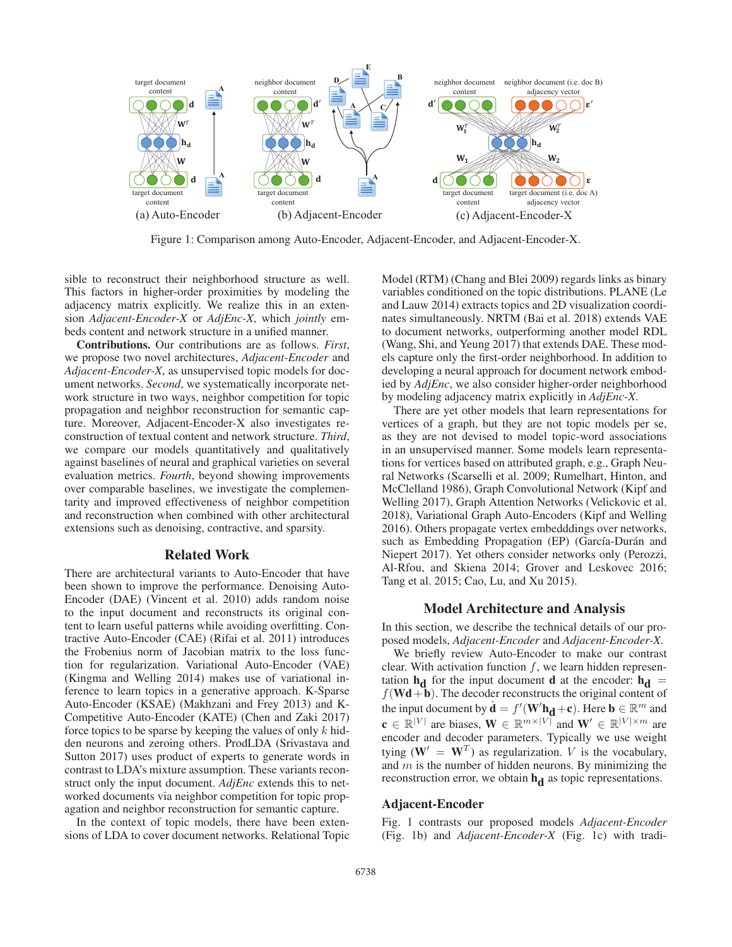

Figure 1: Comparison among Auto-Encoder, Adjacent-Encoder, and Adjacent-Encoder-X.

sible to reconstruct their neighborhood structure as well. This factors in higher-order proximities by modeling the adjacency matrix explicitly. We realize this in an extension *Adjacent-Encoder-X* or *AdjEnc-X*, which *jointly* embeds content and network structure in a unified manner.

Contributions. Our contributions are as follows. *First*, we propose two novel architectures, *Adjacent-Encoder* and *Adjacent-Encoder-X*, as unsupervised topic models for document networks. *Second*, we systematically incorporate network structure in two ways, neighbor competition for topic propagation and neighbor reconstruction for semantic capture. Moreover, Adjacent-Encoder-X also investigates reconstruction of textual content and network structure. *Third*, we compare our models quantitatively and qualitatively against baselines of neural and graphical varieties on several evaluation metrics. *Fourth*, beyond showing improvements over comparable baselines, we investigate the complementarity and improved effectiveness of neighbor competition and reconstruction when combined with other architectural extensions such as denoising, contractive, and sparsity.

#### Related Work

There are architectural variants to Auto-Encoder that have been shown to improve the performance. Denoising Auto-Encoder (DAE) (Vincent et al. 2010) adds random noise to the input document and reconstructs its original content to learn useful patterns while avoiding overfitting. Contractive Auto-Encoder (CAE) (Rifai et al. 2011) introduces the Frobenius norm of Jacobian matrix to the loss function for regularization. Variational Auto-Encoder (VAE) (Kingma and Welling 2014) makes use of variational inference to learn topics in a generative approach. K-Sparse Auto-Encoder (KSAE) (Makhzani and Frey 2013) and K-Competitive Auto-Encoder (KATE) (Chen and Zaki 2017) force topics to be sparse by keeping the values of only  $k$  hidden neurons and zeroing others. ProdLDA (Srivastava and Sutton 2017) uses product of experts to generate words in contrast to LDA's mixture assumption. These variants reconstruct only the input document. *AdjEnc* extends this to networked documents via neighbor competition for topic propagation and neighbor reconstruction for semantic capture.

In the context of topic models, there have been extensions of LDA to cover document networks. Relational Topic Model (RTM) (Chang and Blei 2009) regards links as binary variables conditioned on the topic distributions. PLANE (Le and Lauw 2014) extracts topics and 2D visualization coordinates simultaneously. NRTM (Bai et al. 2018) extends VAE to document networks, outperforming another model RDL (Wang, Shi, and Yeung 2017) that extends DAE. These models capture only the first-order neighborhood. In addition to developing a neural approach for document network embodied by *AdjEnc*, we also consider higher-order neighborhood by modeling adjacency matrix explicitly in *AdjEnc-X*.

There are yet other models that learn representations for vertices of a graph, but they are not topic models per se, as they are not devised to model topic-word associations in an unsupervised manner. Some models learn representations for vertices based on attributed graph, e.g., Graph Neural Networks (Scarselli et al. 2009; Rumelhart, Hinton, and McClelland 1986), Graph Convolutional Network (Kipf and Welling 2017), Graph Attention Networks (Velickovic et al. 2018), Variational Graph Auto-Encoders (Kipf and Welling 2016). Others propagate vertex embedddings over networks, such as Embedding Propagation (EP) (García-Durán and Niepert 2017). Yet others consider networks only (Perozzi, Al-Rfou, and Skiena 2014; Grover and Leskovec 2016; Tang et al. 2015; Cao, Lu, and Xu 2015).

#### Model Architecture and Analysis

In this section, we describe the technical details of our proposed models, *Adjacent-Encoder* and *Adjacent-Encoder-X*.

We briefly review Auto-Encoder to make our contrast clear. With activation function  $f$ , we learn hidden representation  $h_d$  for the input document d at the encoder:  $h_d$  =  $f(\mathbf{Wd} + \mathbf{b})$ . The decoder reconstructs the original content of the input document by  $\hat{\mathbf{d}} = f'(\mathbf{W'}\mathbf{h}_{\mathbf{d}} + \mathbf{c})$ . Here  $\mathbf{b} \in \mathbb{R}^m$  and  $\mathbf{c} \in \mathbb{R}^{|V|}$  are biases,  $\mathbf{W} \in \mathbb{R}^{m \times |V|}$  and  $\mathbf{W}' \in \mathbb{R}^{|V| \times m}$  are encoder and decoder parameters. Typically we use weight tying  $(\mathbf{W}' = \mathbf{W}^T)$  as regularization. V is the vocabulary, and  $m$  is the number of hidden neurons. By minimizing the reconstruction error, we obtain  $\mathbf{h}_{d}$  as topic representations.

#### Adjacent-Encoder

Fig. 1 contrasts our proposed models *Adjacent-Encoder* (Fig. 1b) and *Adjacent-Encoder-X* (Fig. 1c) with tradi-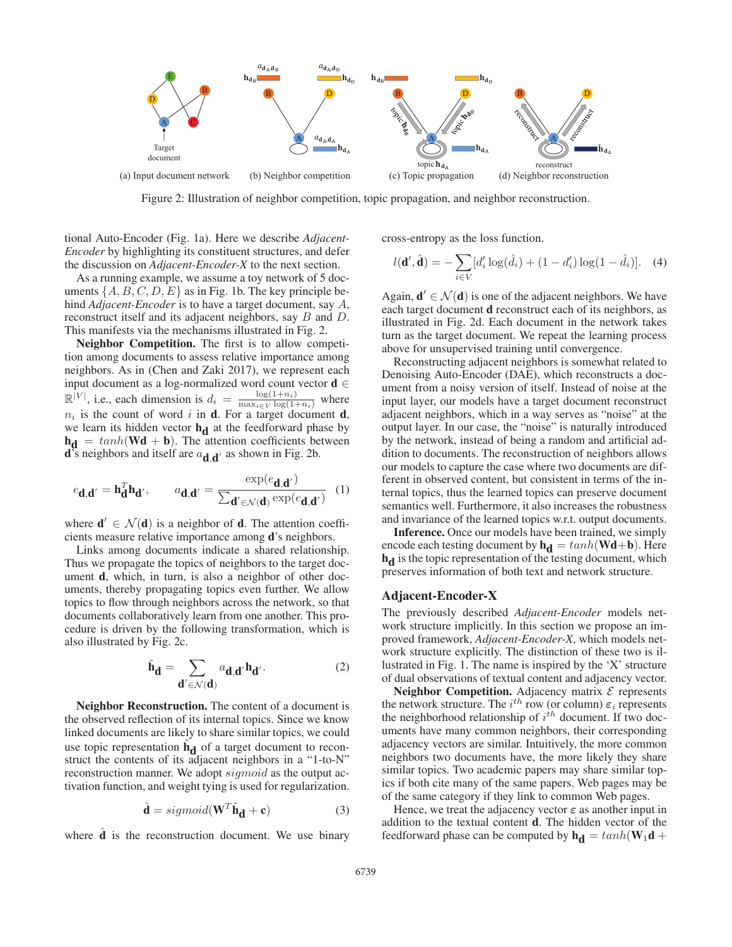

Figure 2: Illustration of neighbor competition, topic propagation, and neighbor reconstruction.

tional Auto-Encoder (Fig. 1a). Here we describe *Adjacent-Encoder* by highlighting its constituent structures, and defer the discussion on *Adjacent-Encoder-X* to the next section.

As a running example, we assume a toy network of 5 documents  $\{A, B, C, D, E\}$  as in Fig. 1b. The key principle behind *Adjacent-Encoder* is to have a target document, say A, reconstruct itself and its adjacent neighbors, say B and D. This manifests via the mechanisms illustrated in Fig. 2.

Neighbor Competition. The first is to allow competition among documents to assess relative importance among neighbors. As in (Chen and Zaki 2017), we represent each input document as a log-normalized word count vector  $d \in$  $\mathbb{R}^{|V|}$ , i.e., each dimension is  $d_i = \frac{\log(1+n_i)}{\max_{i \in V} \log(1+n_i)}$  where  $n_i$  is the count of word i in **d**. For a target document **d**, we learn its hidden vector  $h_d$  at the feedforward phase by  $h_{d} = \tanh(Wd + b)$ . The attention coefficients between **d**'s neighbors and itself are  $a_{\mathbf{d} \cdot \mathbf{d}'}$  as shown in Fig. 2b.

$$
e_{\mathbf{d},\mathbf{d}'} = \mathbf{h}_{\mathbf{d}}^T \mathbf{h}_{\mathbf{d}'}, \qquad a_{\mathbf{d},\mathbf{d}'} = \frac{\exp(e_{\mathbf{d},\mathbf{d}'})}{\sum_{\mathbf{d}' \in \mathcal{N}(\mathbf{d})} \exp(e_{\mathbf{d},\mathbf{d}'})} \quad (1)
$$

where  $\mathbf{d}' \in \mathcal{N}(\mathbf{d})$  is a neighbor of **d**. The attention coefficients measure relative importance among d's neighbors.

Links among documents indicate a shared relationship. Thus we propagate the topics of neighbors to the target document d, which, in turn, is also a neighbor of other documents, thereby propagating topics even further. We allow topics to flow through neighbors across the network, so that documents collaboratively learn from one another. This procedure is driven by the following transformation, which is also illustrated by Fig. 2c.

$$
\tilde{\mathbf{h}}_{\mathbf{d}} = \sum_{\mathbf{d}' \in \mathcal{N}(\mathbf{d})} a_{\mathbf{d},\mathbf{d}'} \mathbf{h}_{\mathbf{d}'}.
$$
 (2)

Neighbor Reconstruction. The content of a document is the observed reflection of its internal topics. Since we know linked documents are likely to share similar topics, we could use topic representation  $\tilde{h}_{d}$  of a target document to reconstruct the contents of its adjacent neighbors in a "1-to-N" reconstruction manner. We adopt *sigmoid* as the output activation function, and weight tying is used for regularization.

$$
\hat{\mathbf{d}} = sigmoid(\mathbf{W}^T \tilde{\mathbf{h}}_{\mathbf{d}} + \mathbf{c})
$$
 (3)

where  $d$  is the reconstruction document. We use binary

cross-entropy as the loss function.

$$
l(\mathbf{d}', \hat{\mathbf{d}}) = -\sum_{i \in V} [d'_i \log(\hat{d}_i) + (1 - d'_i) \log(1 - \hat{d}_i)]. \quad (4)
$$

Again,  $\mathbf{d}' \in \mathcal{N}(\mathbf{d})$  is one of the adjacent neighbors. We have each target document d reconstruct each of its neighbors, as illustrated in Fig. 2d. Each document in the network takes turn as the target document. We repeat the learning process above for unsupervised training until convergence.

Reconstructing adjacent neighbors is somewhat related to Denoising Auto-Encoder (DAE), which reconstructs a document from a noisy version of itself. Instead of noise at the input layer, our models have a target document reconstruct adjacent neighbors, which in a way serves as "noise" at the output layer. In our case, the "noise" is naturally introduced by the network, instead of being a random and artificial addition to documents. The reconstruction of neighbors allows our models to capture the case where two documents are different in observed content, but consistent in terms of the internal topics, thus the learned topics can preserve document semantics well. Furthermore, it also increases the robustness and invariance of the learned topics w.r.t. output documents.

Inference. Once our models have been trained, we simply encode each testing document by  $\mathbf{h}_{\mathbf{d}} = \tanh(\mathbf{W}\mathbf{d} + \mathbf{b})$ . Here h<sub>d</sub> is the topic representation of the testing document, which preserves information of both text and network structure.

#### Adjacent-Encoder-X

The previously described *Adjacent-Encoder* models network structure implicitly. In this section we propose an improved framework, *Adjacent-Encoder-X*, which models network structure explicitly. The distinction of these two is illustrated in Fig. 1. The name is inspired by the 'X' structure of dual observations of textual content and adjacency vector.

Neighbor Competition. Adjacency matrix  $\mathcal E$  represents the network structure. The  $i^{th}$  row (or column)  $\varepsilon_i$  represents the neighborhood relationship of  $i^{th}$  document. If two documents have many common neighbors, their corresponding adjacency vectors are similar. Intuitively, the more common neighbors two documents have, the more likely they share similar topics. Two academic papers may share similar topics if both cite many of the same papers. Web pages may be of the same category if they link to common Web pages.

Hence, we treat the adjacency vector  $\varepsilon$  as another input in addition to the textual content d. The hidden vector of the feedforward phase can be computed by  $\mathbf{h}_{d} = tanh(\mathbf{W}_{1}d +$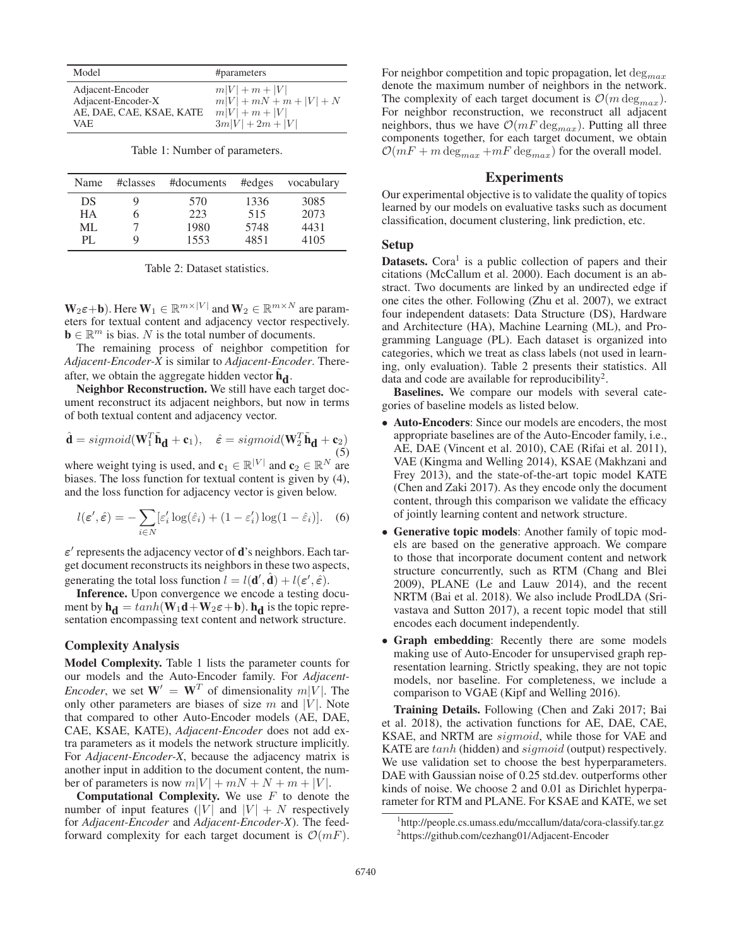| Model                    | #parameters               |
|--------------------------|---------------------------|
| Adjacent-Encoder         | $m V  + m +  V $          |
| Adjacent-Encoder-X       | $m V  + mN + m +  V  + N$ |
| AE, DAE, CAE, KSAE, KATE | $m V  + m +  V $          |
| VAE.                     | $3m V  + 2m +  V $        |

Table 1: Number of parameters.

| Name      | #classes | #documents | #edges | vocabulary |
|-----------|----------|------------|--------|------------|
| DS        |          | 570        | 1336   | 3085       |
| <b>HA</b> |          | 223        | 515    | 2073       |
| ML        |          | 1980       | 5748   | 4431       |
| PL.       | Q        | 1553       | 4851   | 4105       |

Table 2: Dataset statistics.

 $W_2\varepsilon+b$ ). Here  $W_1 \in \mathbb{R}^{m \times |V|}$  and  $W_2 \in \mathbb{R}^{m \times N}$  are parameters for textual content and adjacency vector respectively.  $\mathbf{b} \in \mathbb{R}^m$  is bias. N is the total number of documents.

The remaining process of neighbor competition for *Adjacent-Encoder-X* is similar to *Adjacent-Encoder*. Thereafter, we obtain the aggregate hidden vector  $\tilde{h}_{d}$ .

Neighbor Reconstruction. We still have each target document reconstruct its adjacent neighbors, but now in terms of both textual content and adjacency vector.

$$
\hat{\mathbf{d}} = sigmoid(\mathbf{W}_1^T \tilde{\mathbf{h}}_{\mathbf{d}} + \mathbf{c}_1), \quad \hat{\varepsilon} = sigmoid(\mathbf{W}_2^T \tilde{\mathbf{h}}_{\mathbf{d}} + \mathbf{c}_2) \tag{5}
$$

where weight tying is used, and  $\mathbf{c}_1 \in \mathbb{R}^{|V|}$  and  $\mathbf{c}_2 \in \mathbb{R}^N$  are biases. The loss function for textual content is given by (4) biases. The loss function for textual content is given by (4), and the loss function for adjacency vector is given below.

$$
l(\varepsilon', \hat{\varepsilon}) = -\sum_{i \in N} [\varepsilon'_i \log(\hat{\varepsilon}_i) + (1 - \varepsilon'_i) \log(1 - \hat{\varepsilon}_i)].
$$
 (6)

 $\varepsilon'$  represents the adjacency vector of **d**'s neighbors. Each target document reconstructs its neighbors in these two aspects, generating the total loss function  $l = l(\mathbf{d}', \hat{\mathbf{d}}) + l(\varepsilon', \hat{\varepsilon})$ .

Inference. Upon convergence we encode a testing document by  $h_d = \tanh(\mathbf{W}_1\mathbf{d} + \mathbf{W}_2\varepsilon + \mathbf{b})$ .  $h_d$  is the topic representation encompassing text content and network structure.

# Complexity Analysis

Model Complexity. Table 1 lists the parameter counts for our models and the Auto-Encoder family. For *Adjacent-Encoder*, we set  $W' = W^T$  of dimensionality  $m|V|$ . The only other parameters are biases of size  $m$  and |V|. Note that compared to other Auto-Encoder models (AE, DAE, CAE, KSAE, KATE), *Adjacent-Encoder* does not add extra parameters as it models the network structure implicitly. For *Adjacent-Encoder-X*, because the adjacency matrix is another input in addition to the document content, the number of parameters is now  $m|V| + mN + N + m + |V|$ .

**Computational Complexity.** We use  $F$  to denote the number of input features (|V| and  $|V| + N$  respectively for *Adjacent-Encoder* and *Adjacent-Encoder-X*). The feedforward complexity for each target document is  $\mathcal{O}(mF)$ . For neighbor competition and topic propagation, let  $\deg_{max}$ denote the maximum number of neighbors in the network. The complexity of each target document is  $\mathcal{O}(m \deg_{max})$ . For neighbor reconstruction, we reconstruct all adjacent neighbors, thus we have  $\mathcal{O}(mF \deg_{max})$ . Putting all three components together, for each target document, we obtain  $\mathcal{O}(mF + m \deg_{max} + mF \deg_{max})$  for the overall model.

# Experiments

Our experimental objective is to validate the quality of topics learned by our models on evaluative tasks such as document classification, document clustering, link prediction, etc.

#### Setup

**Datasets.** Cora<sup>1</sup> is a public collection of papers and their citations (McCallum et al. 2000). Each document is an abstract. Two documents are linked by an undirected edge if one cites the other. Following (Zhu et al. 2007), we extract four independent datasets: Data Structure (DS), Hardware and Architecture (HA), Machine Learning (ML), and Programming Language (PL). Each dataset is organized into categories, which we treat as class labels (not used in learning, only evaluation). Table 2 presents their statistics. All data and code are available for reproducibility<sup>2</sup>.

Baselines. We compare our models with several categories of baseline models as listed below.

- Auto-Encoders: Since our models are encoders, the most appropriate baselines are of the Auto-Encoder family, i.e., AE, DAE (Vincent et al. 2010), CAE (Rifai et al. 2011), VAE (Kingma and Welling 2014), KSAE (Makhzani and Frey 2013), and the state-of-the-art topic model KATE (Chen and Zaki 2017). As they encode only the document content, through this comparison we validate the efficacy of jointly learning content and network structure.
- Generative topic models: Another family of topic models are based on the generative approach. We compare to those that incorporate document content and network structure concurrently, such as RTM (Chang and Blei 2009), PLANE (Le and Lauw 2014), and the recent NRTM (Bai et al. 2018). We also include ProdLDA (Srivastava and Sutton 2017), a recent topic model that still encodes each document independently.
- Graph embedding: Recently there are some models making use of Auto-Encoder for unsupervised graph representation learning. Strictly speaking, they are not topic models, nor baseline. For completeness, we include a comparison to VGAE (Kipf and Welling 2016).

Training Details. Following (Chen and Zaki 2017; Bai et al. 2018), the activation functions for AE, DAE, CAE, KSAE, and NRTM are sigmoid, while those for VAE and KATE are  $tanh$  (hidden) and  $sigmoid$  (output) respectively. We use validation set to choose the best hyperparameters. DAE with Gaussian noise of 0.25 std.dev. outperforms other kinds of noise. We choose 2 and 0.01 as Dirichlet hyperparameter for RTM and PLANE. For KSAE and KATE, we set

<sup>1</sup> http://people.cs.umass.edu/mccallum/data/cora-classify.tar.gz 2 https://github.com/cezhang01/Adjacent-Encoder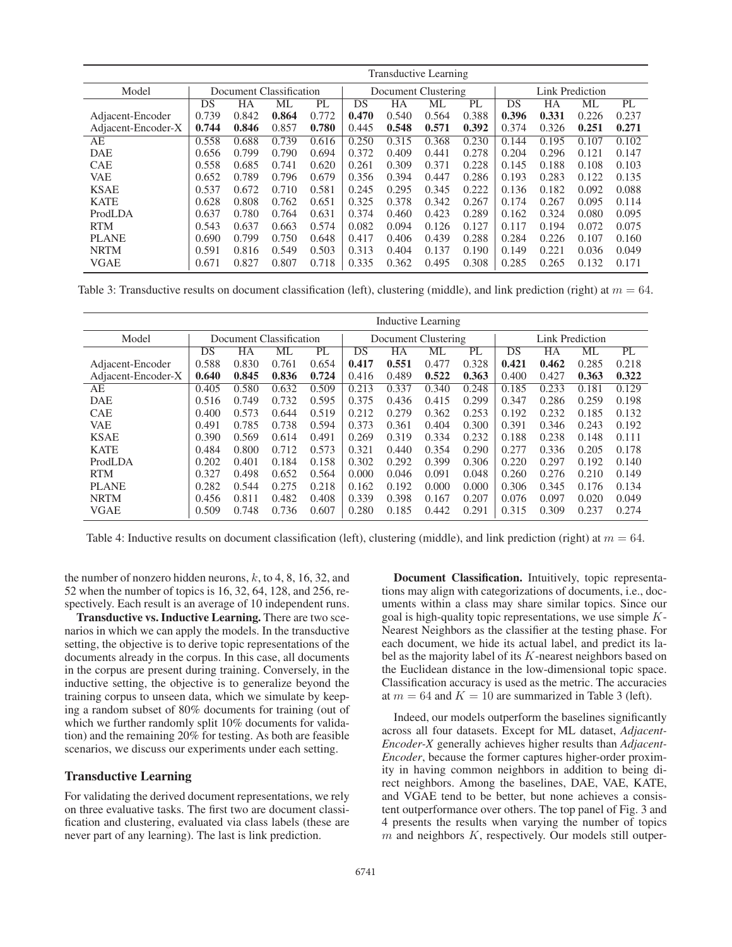|                    | <b>Transductive Learning</b> |       |       |                     |       |       |                 |       |       |       |       |       |
|--------------------|------------------------------|-------|-------|---------------------|-------|-------|-----------------|-------|-------|-------|-------|-------|
| Model              | Document Classification      |       |       | Document Clustering |       |       | Link Prediction |       |       |       |       |       |
|                    | DS                           | HА    | МL    | PL                  | DS    | HA    | МL              | PL    | DS    | HA    | МL    | PL    |
| Adjacent-Encoder   | 0.739                        | 0.842 | 0.864 | 0.772               | 0.470 | 0.540 | 0.564           | 0.388 | 0.396 | 0.331 | 0.226 | 0.237 |
| Adjacent-Encoder-X | 0.744                        | 0.846 | 0.857 | 0.780               | 0.445 | 0.548 | 0.571           | 0.392 | 0.374 | 0.326 | 0.251 | 0.271 |
| AЕ                 | 0.558                        | 0.688 | 0.739 | 0.616               | 0.250 | 0.315 | 0.368           | 0.230 | 0.144 | 0.195 | 0.107 | 0.102 |
| <b>DAE</b>         | 0.656                        | 0.799 | 0.790 | 0.694               | 0.372 | 0.409 | 0.441           | 0.278 | 0.204 | 0.296 | 0.121 | 0.147 |
| <b>CAE</b>         | 0.558                        | 0.685 | 0.741 | 0.620               | 0.261 | 0.309 | 0.371           | 0.228 | 0.145 | 0.188 | 0.108 | 0.103 |
| <b>VAE</b>         | 0.652                        | 0.789 | 0.796 | 0.679               | 0.356 | 0.394 | 0.447           | 0.286 | 0.193 | 0.283 | 0.122 | 0.135 |
| <b>KSAE</b>        | 0.537                        | 0.672 | 0.710 | 0.581               | 0.245 | 0.295 | 0.345           | 0.222 | 0.136 | 0.182 | 0.092 | 0.088 |
| <b>KATE</b>        | 0.628                        | 0.808 | 0.762 | 0.651               | 0.325 | 0.378 | 0.342           | 0.267 | 0.174 | 0.267 | 0.095 | 0.114 |
| ProdLDA            | 0.637                        | 0.780 | 0.764 | 0.631               | 0.374 | 0.460 | 0.423           | 0.289 | 0.162 | 0.324 | 0.080 | 0.095 |
| <b>RTM</b>         | 0.543                        | 0.637 | 0.663 | 0.574               | 0.082 | 0.094 | 0.126           | 0.127 | 0.117 | 0.194 | 0.072 | 0.075 |
| <b>PLANE</b>       | 0.690                        | 0.799 | 0.750 | 0.648               | 0.417 | 0.406 | 0.439           | 0.288 | 0.284 | 0.226 | 0.107 | 0.160 |
| <b>NRTM</b>        | 0.591                        | 0.816 | 0.549 | 0.503               | 0.313 | 0.404 | 0.137           | 0.190 | 0.149 | 0.221 | 0.036 | 0.049 |
| VGAE               | 0.671                        | 0.827 | 0.807 | 0.718               | 0.335 | 0.362 | 0.495           | 0.308 | 0.285 | 0.265 | 0.132 | 0.171 |

Table 3: Transductive results on document classification (left), clustering (middle), and link prediction (right) at  $m = 64$ .

|                    | <b>Inductive Learning</b> |       |       |                     |       |       |       |                 |       |       |       |       |
|--------------------|---------------------------|-------|-------|---------------------|-------|-------|-------|-----------------|-------|-------|-------|-------|
| Model              | Document Classification   |       |       | Document Clustering |       |       |       | Link Prediction |       |       |       |       |
|                    | DS                        | HA    | ML    | PL                  | DS    | HА    | ML    | PL              | DS    | HA    | ML    | PL    |
| Adjacent-Encoder   | 0.588                     | 0.830 | 0.761 | 0.654               | 0.417 | 0.551 | 0.477 | 0.328           | 0.421 | 0.462 | 0.285 | 0.218 |
| Adjacent-Encoder-X | 0.640                     | 0.845 | 0.836 | 0.724               | 0.416 | 0.489 | 0.522 | 0.363           | 0.400 | 0.427 | 0.363 | 0.322 |
| AE                 | 0.405                     | 0.580 | 0.632 | 0.509               | 0.213 | 0.337 | 0.340 | 0.248           | 0.185 | 0.233 | 0.181 | 0.129 |
| <b>DAE</b>         | 0.516                     | 0.749 | 0.732 | 0.595               | 0.375 | 0.436 | 0.415 | 0.299           | 0.347 | 0.286 | 0.259 | 0.198 |
| <b>CAE</b>         | 0.400                     | 0.573 | 0.644 | 0.519               | 0.212 | 0.279 | 0.362 | 0.253           | 0.192 | 0.232 | 0.185 | 0.132 |
| <b>VAE</b>         | 0.491                     | 0.785 | 0.738 | 0.594               | 0.373 | 0.361 | 0.404 | 0.300           | 0.391 | 0.346 | 0.243 | 0.192 |
| <b>KSAE</b>        | 0.390                     | 0.569 | 0.614 | 0.491               | 0.269 | 0.319 | 0.334 | 0.232           | 0.188 | 0.238 | 0.148 | 0.111 |
| <b>KATE</b>        | 0.484                     | 0.800 | 0.712 | 0.573               | 0.321 | 0.440 | 0.354 | 0.290           | 0.277 | 0.336 | 0.205 | 0.178 |
| ProdLDA            | 0.202                     | 0.401 | 0.184 | 0.158               | 0.302 | 0.292 | 0.399 | 0.306           | 0.220 | 0.297 | 0.192 | 0.140 |
| <b>RTM</b>         | 0.327                     | 0.498 | 0.652 | 0.564               | 0.000 | 0.046 | 0.091 | 0.048           | 0.260 | 0.276 | 0.210 | 0.149 |
| <b>PLANE</b>       | 0.282                     | 0.544 | 0.275 | 0.218               | 0.162 | 0.192 | 0.000 | 0.000           | 0.306 | 0.345 | 0.176 | 0.134 |
| <b>NRTM</b>        | 0.456                     | 0.811 | 0.482 | 0.408               | 0.339 | 0.398 | 0.167 | 0.207           | 0.076 | 0.097 | 0.020 | 0.049 |
| <b>VGAE</b>        | 0.509                     | 0.748 | 0.736 | 0.607               | 0.280 | 0.185 | 0.442 | 0.291           | 0.315 | 0.309 | 0.237 | 0.274 |

Table 4: Inductive results on document classification (left), clustering (middle), and link prediction (right) at  $m = 64$ .

the number of nonzero hidden neurons,  $k$ , to 4, 8, 16, 32, and 52 when the number of topics is 16, 32, 64, 128, and 256, respectively. Each result is an average of 10 independent runs.

Transductive vs. Inductive Learning. There are two scenarios in which we can apply the models. In the transductive setting, the objective is to derive topic representations of the documents already in the corpus. In this case, all documents in the corpus are present during training. Conversely, in the inductive setting, the objective is to generalize beyond the training corpus to unseen data, which we simulate by keeping a random subset of 80% documents for training (out of which we further randomly split 10% documents for validation) and the remaining 20% for testing. As both are feasible scenarios, we discuss our experiments under each setting.

# Transductive Learning

For validating the derived document representations, we rely on three evaluative tasks. The first two are document classification and clustering, evaluated via class labels (these are never part of any learning). The last is link prediction.

Document Classification. Intuitively, topic representations may align with categorizations of documents, i.e., documents within a class may share similar topics. Since our goal is high-quality topic representations, we use simple  $K$ -Nearest Neighbors as the classifier at the testing phase. For each document, we hide its actual label, and predict its label as the majority label of its K-nearest neighbors based on the Euclidean distance in the low-dimensional topic space. Classification accuracy is used as the metric. The accuracies at  $m = 64$  and  $K = 10$  are summarized in Table 3 (left).

Indeed, our models outperform the baselines significantly across all four datasets. Except for ML dataset, *Adjacent-Encoder-X* generally achieves higher results than *Adjacent-Encoder*, because the former captures higher-order proximity in having common neighbors in addition to being direct neighbors. Among the baselines, DAE, VAE, KATE, and VGAE tend to be better, but none achieves a consistent outperformance over others. The top panel of Fig. 3 and 4 presents the results when varying the number of topics  $m$  and neighbors  $K$ , respectively. Our models still outper-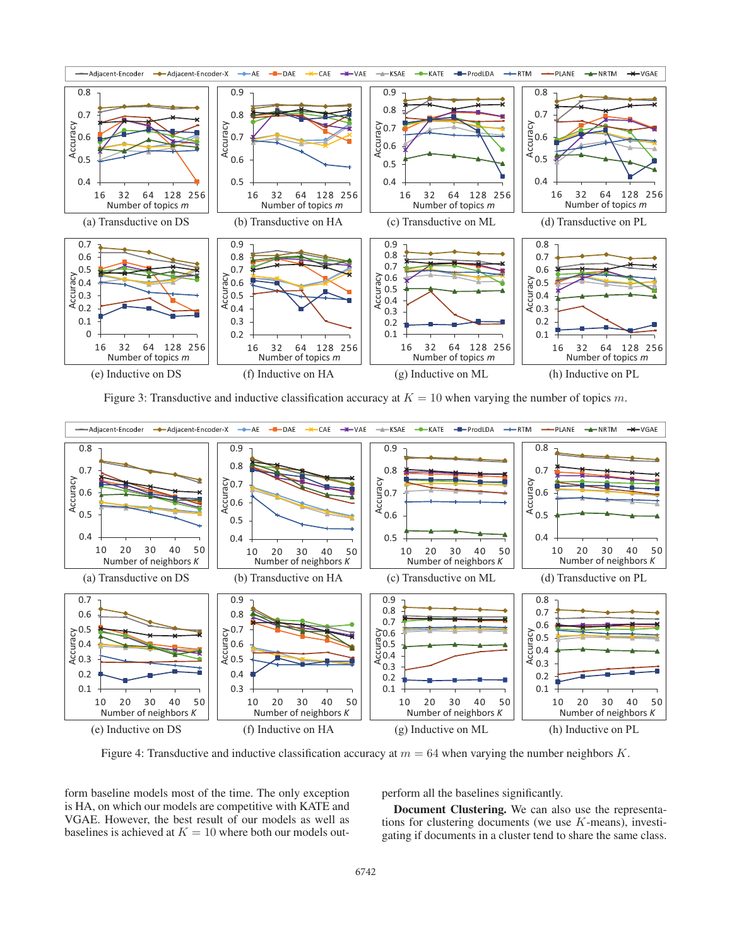

Figure 3: Transductive and inductive classification accuracy at  $K = 10$  when varying the number of topics m.



Figure 4: Transductive and inductive classification accuracy at  $m = 64$  when varying the number neighbors K.

form baseline models most of the time. The only exception is HA, on which our models are competitive with KATE and VGAE. However, the best result of our models as well as baselines is achieved at  $K = 10$  where both our models outperform all the baselines significantly.

Document Clustering. We can also use the representations for clustering documents (we use  $K$ -means), investigating if documents in a cluster tend to share the same class.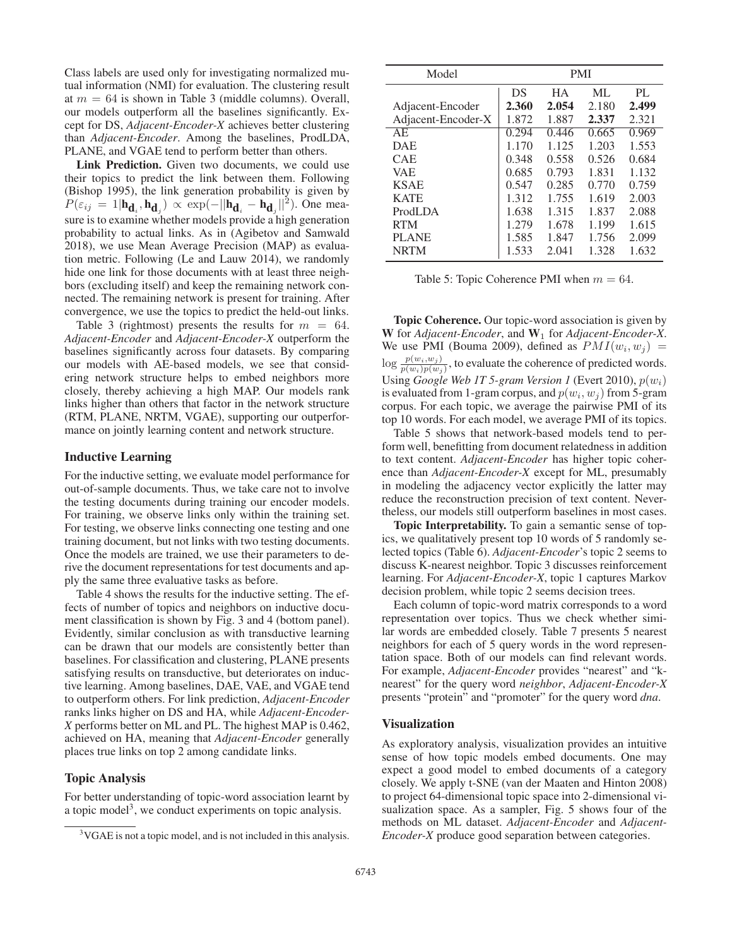Class labels are used only for investigating normalized mutual information (NMI) for evaluation. The clustering result at  $m = 64$  is shown in Table 3 (middle columns). Overall, our models outperform all the baselines significantly. Except for DS, *Adjacent-Encoder-X* achieves better clustering than *Adjacent-Encoder*. Among the baselines, ProdLDA, PLANE, and VGAE tend to perform better than others.

Link Prediction. Given two documents, we could use their topics to predict the link between them. Following (Bishop 1995), the link generation probability is given by  $P(\varepsilon_{ij} = 1 | \mathbf{h}_{\mathbf{d}_i}, \mathbf{h}_{\mathbf{d}_j}) \propto \exp(-||\mathbf{h}_{\mathbf{d}_i} - \mathbf{h}_{\mathbf{d}_j}||^2)$ . One measure is to examine whether models provide a high generation probability to actual links. As in (Agibetov and Samwald 2018), we use Mean Average Precision (MAP) as evaluation metric. Following (Le and Lauw 2014), we randomly hide one link for those documents with at least three neighbors (excluding itself) and keep the remaining network connected. The remaining network is present for training. After convergence, we use the topics to predict the held-out links.

Table 3 (rightmost) presents the results for  $m = 64$ . *Adjacent-Encoder* and *Adjacent-Encoder-X* outperform the baselines significantly across four datasets. By comparing our models with AE-based models, we see that considering network structure helps to embed neighbors more closely, thereby achieving a high MAP. Our models rank links higher than others that factor in the network structure (RTM, PLANE, NRTM, VGAE), supporting our outperformance on jointly learning content and network structure.

#### Inductive Learning

For the inductive setting, we evaluate model performance for out-of-sample documents. Thus, we take care not to involve the testing documents during training our encoder models. For training, we observe links only within the training set. For testing, we observe links connecting one testing and one training document, but not links with two testing documents. Once the models are trained, we use their parameters to derive the document representations for test documents and apply the same three evaluative tasks as before.

Table 4 shows the results for the inductive setting. The effects of number of topics and neighbors on inductive document classification is shown by Fig. 3 and 4 (bottom panel). Evidently, similar conclusion as with transductive learning can be drawn that our models are consistently better than baselines. For classification and clustering, PLANE presents satisfying results on transductive, but deteriorates on inductive learning. Among baselines, DAE, VAE, and VGAE tend to outperform others. For link prediction, *Adjacent-Encoder* ranks links higher on DS and HA, while *Adjacent-Encoder-X* performs better on ML and PL. The highest MAP is 0.462, achieved on HA, meaning that *Adjacent-Encoder* generally places true links on top 2 among candidate links.

#### Topic Analysis

For better understanding of topic-word association learnt by a topic model<sup>3</sup>, we conduct experiments on topic analysis.

| Model              | <b>PMI</b> |           |       |       |
|--------------------|------------|-----------|-------|-------|
|                    | DS         | <b>HA</b> | ML    | PI.   |
| Adjacent-Encoder   | 2.360      | 2.054     | 2.180 | 2.499 |
| Adjacent-Encoder-X | 1.872      | 1.887     | 2.337 | 2.321 |
| AE                 | 0.294      | 0.446     | 0.665 | 0.969 |
| <b>DAE</b>         | 1.170      | 1.125     | 1.203 | 1.553 |
| <b>CAE</b>         | 0.348      | 0.558     | 0.526 | 0.684 |
| <b>VAE</b>         | 0.685      | 0.793     | 1.831 | 1.132 |
| <b>KSAE</b>        | 0.547      | 0.285     | 0.770 | 0.759 |
| <b>KATE</b>        | 1.312      | 1.755     | 1.619 | 2.003 |
| ProdLDA            | 1.638      | 1.315     | 1.837 | 2.088 |
| <b>RTM</b>         | 1.279      | 1.678     | 1.199 | 1.615 |
| <b>PLANE</b>       | 1.585      | 1.847     | 1.756 | 2.099 |
| <b>NRTM</b>        | 1.533      | 2.041     | 1.328 | 1.632 |

Table 5: Topic Coherence PMI when  $m = 64$ .

Topic Coherence. Our topic-word association is given by W for *Adjacent-Encoder*, and  $W_1$  for *Adjacent-Encoder-X*. We use PMI (Bouma 2009), defined as  $PMI(w_i, w_j)$  =  $\log \frac{p(w_i, w_j)}{p(w_i)p(w_j)}$ , to evaluate the coherence of predicted words. Using *Google Web 1T 5-gram Version 1* (Evert 2010),  $p(w_i)$ is evaluated from 1-gram corpus, and  $p(w_i, w_j)$  from 5-gram corpus. For each topic, we average the pairwise PMI of its top 10 words. For each model, we average PMI of its topics.

Table 5 shows that network-based models tend to perform well, benefitting from document relatedness in addition to text content. *Adjacent-Encoder* has higher topic coherence than *Adjacent-Encoder-X* except for ML, presumably in modeling the adjacency vector explicitly the latter may reduce the reconstruction precision of text content. Nevertheless, our models still outperform baselines in most cases.

Topic Interpretability. To gain a semantic sense of topics, we qualitatively present top 10 words of 5 randomly selected topics (Table 6). *Adjacent-Encoder*'s topic 2 seems to discuss K-nearest neighbor. Topic 3 discusses reinforcement learning. For *Adjacent-Encoder-X*, topic 1 captures Markov decision problem, while topic 2 seems decision trees.

Each column of topic-word matrix corresponds to a word representation over topics. Thus we check whether similar words are embedded closely. Table 7 presents 5 nearest neighbors for each of 5 query words in the word representation space. Both of our models can find relevant words. For example, *Adjacent-Encoder* provides "nearest" and "knearest" for the query word *neighbor*, *Adjacent-Encoder-X* presents "protein" and "promoter" for the query word *dna*.

#### Visualization

As exploratory analysis, visualization provides an intuitive sense of how topic models embed documents. One may expect a good model to embed documents of a category closely. We apply t-SNE (van der Maaten and Hinton 2008) to project 64-dimensional topic space into 2-dimensional visualization space. As a sampler, Fig. 5 shows four of the methods on ML dataset. *Adjacent-Encoder* and *Adjacent-Encoder-X* produce good separation between categories.

<sup>&</sup>lt;sup>3</sup>VGAE is not a topic model, and is not included in this analysis.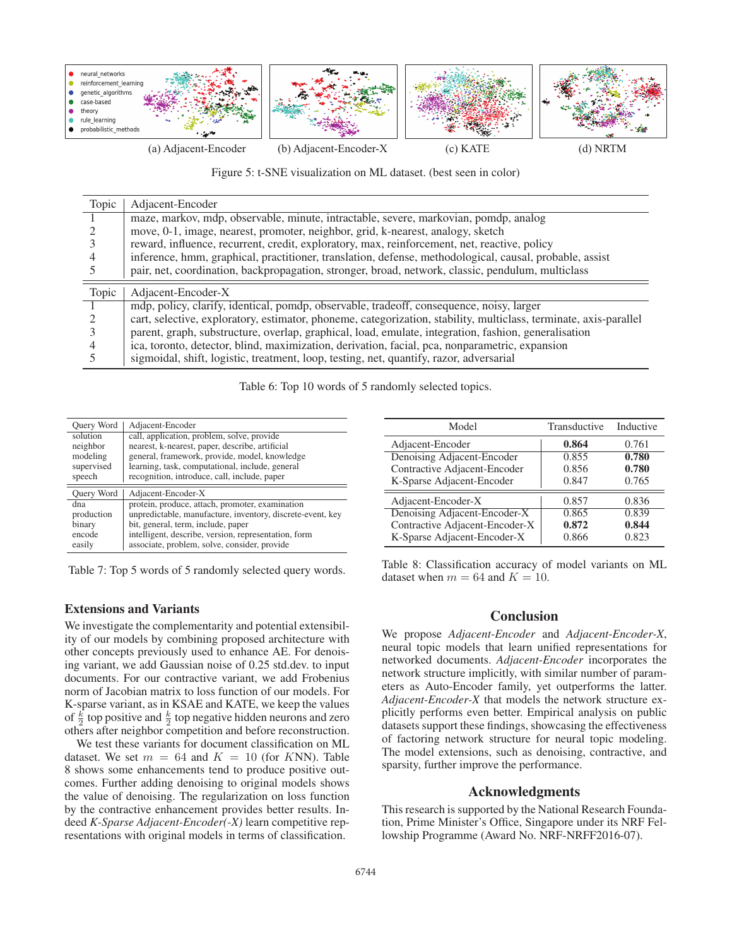

Figure 5: t-SNE visualization on ML dataset. (best seen in color)

| Topic | Adjacent-Encoder                                                                                                  |
|-------|-------------------------------------------------------------------------------------------------------------------|
|       | maze, markov, mdp, observable, minute, intractable, severe, markovian, pomdp, analog                              |
|       | move, 0-1, image, nearest, promoter, neighbor, grid, k-nearest, analogy, sketch                                   |
|       | reward, influence, recurrent, credit, exploratory, max, reinforcement, net, reactive, policy                      |
|       | inference, hmm, graphical, practitioner, translation, defense, methodological, causal, probable, assist           |
|       | pair, net, coordination, backpropagation, stronger, broad, network, classic, pendulum, multiclass                 |
| Topic | Adjacent-Encoder-X                                                                                                |
|       | mdp, policy, clarify, identical, pomdp, observable, tradeoff, consequence, noisy, larger                          |
|       | cart, selective, exploratory, estimator, phoneme, categorization, stability, multiclass, terminate, axis-parallel |
|       | parent, graph, substructure, overlap, graphical, load, emulate, integration, fashion, generalisation              |
|       | ica, toronto, detector, blind, maximization, derivation, facial, pca, nonparametric, expansion                    |
|       | sigmoidal, shift, logistic, treatment, loop, testing, net, quantify, razor, adversarial                           |

Table 6: Top 10 words of 5 randomly selected topics.

| Query Word | Adjacent-Encoder                                           |
|------------|------------------------------------------------------------|
| solution   | call, application, problem, solve, provide                 |
| neighbor   | nearest, k-nearest, paper, describe, artificial            |
| modeling   | general, framework, provide, model, knowledge              |
| supervised | learning, task, computational, include, general            |
| speech     | recognition, introduce, call, include, paper               |
| Query Word | Adjacent-Encoder-X                                         |
| dna        | protein, produce, attach, promoter, examination            |
| production | unpredictable, manufacture, inventory, discrete-event, key |
| binary     | bit, general, term, include, paper                         |
| encode     | intelligent, describe, version, representation, form       |
| easily     | associate, problem, solve, consider, provide               |

Table 7: Top 5 words of 5 randomly selected query words.

### Extensions and Variants

We investigate the complementarity and potential extensibility of our models by combining proposed architecture with other concepts previously used to enhance AE. For denoising variant, we add Gaussian noise of 0.25 std.dev. to input documents. For our contractive variant, we add Frobenius norm of Jacobian matrix to loss function of our models. For K-sparse variant, as in KSAE and KATE, we keep the values of  $\frac{k}{2}$  top positive and  $\frac{k}{2}$  top negative hidden neurons and zero others after neighbor competition and before reconstruction. others after neighbor competition and before reconstruction.

We test these variants for document classification on ML dataset. We set  $m = 64$  and  $K = 10$  (for KNN). Table 8 shows some enhancements tend to produce positive outcomes. Further adding denoising to original models shows the value of denoising. The regularization on loss function by the contractive enhancement provides better results. Indeed *K-Sparse Adjacent-Encoder(-X)* learn competitive representations with original models in terms of classification.

| Model                          | Transductive | Inductive |
|--------------------------------|--------------|-----------|
| Adjacent-Encoder               | 0.864        | 0.761     |
| Denoising Adjacent-Encoder     | 0.855        | 0.780     |
| Contractive Adjacent-Encoder   | 0.856        | 0.780     |
| K-Sparse Adjacent-Encoder      | 0.847        | 0.765     |
| Adjacent-Encoder-X             | 0.857        | 0.836     |
| Denoising Adjacent-Encoder-X   | 0.865        | 0.839     |
| Contractive Adjacent-Encoder-X | 0.872        | 0.844     |
| K-Sparse Adjacent-Encoder-X    | 0.866        | 0.823     |

Table 8: Classification accuracy of model variants on ML dataset when  $m = 64$  and  $K = 10$ .

# **Conclusion**

We propose *Adjacent-Encoder* and *Adjacent-Encoder-X*, neural topic models that learn unified representations for networked documents. *Adjacent-Encoder* incorporates the network structure implicitly, with similar number of parameters as Auto-Encoder family, yet outperforms the latter. *Adjacent-Encoder-X* that models the network structure explicitly performs even better. Empirical analysis on public datasets support these findings, showcasing the effectiveness of factoring network structure for neural topic modeling. The model extensions, such as denoising, contractive, and sparsity, further improve the performance.

# Acknowledgments

This research is supported by the National Research Foundation, Prime Minister's Office, Singapore under its NRF Fellowship Programme (Award No. NRF-NRFF2016-07).